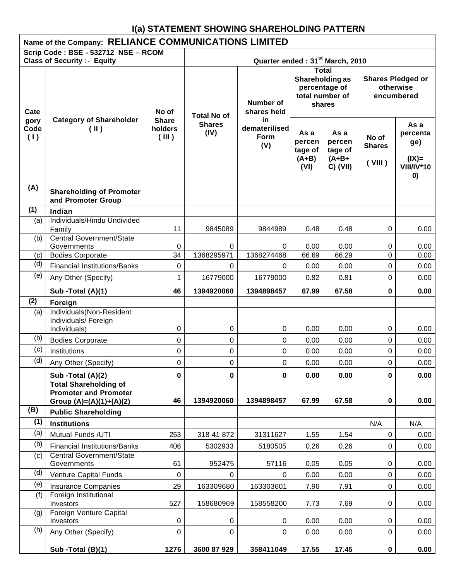# **I(a) STATEMENT SHOWING SHAREHOLDING PATTERN**

|                     | Name of the Company: RELIANCE COMMUNICATIONS LIMITED                                      |                                  |                                             |                                             |                                                                               |                                                    |                                                     |                                                               |
|---------------------|-------------------------------------------------------------------------------------------|----------------------------------|---------------------------------------------|---------------------------------------------|-------------------------------------------------------------------------------|----------------------------------------------------|-----------------------------------------------------|---------------------------------------------------------------|
|                     | Scrip Code: BSE - 532712 NSE - RCOM<br><b>Class of Security :- Equity</b>                 |                                  |                                             | Quarter ended: 31 <sup>st</sup> March, 2010 |                                                                               |                                                    |                                                     |                                                               |
| Cate                |                                                                                           | No of                            |                                             | Number of<br>shares held                    | <b>Total</b><br>Shareholding as<br>percentage of<br>total number of<br>shares |                                                    | <b>Shares Pledged or</b><br>otherwise<br>encumbered |                                                               |
| gory<br>Code<br>(1) | <b>Category of Shareholder</b><br>(II)                                                    | <b>Share</b><br>holders<br>(III) | <b>Total No of</b><br><b>Shares</b><br>(IV) | in<br>dematerilised<br>Form<br>(V)          | As a<br>percen<br>tage of<br>$(A+B)$<br>(VI)                                  | As a<br>percen<br>tage of<br>$(A+B+$<br>$C)$ (VII) | No of<br><b>Shares</b><br>(VIII)                    | As a<br>percenta<br>ge)<br>$(IX)=$<br><b>VIII/IV*10</b><br>0) |
| (A)                 | <b>Shareholding of Promoter</b><br>and Promoter Group                                     |                                  |                                             |                                             |                                                                               |                                                    |                                                     |                                                               |
| (1)                 | Indian                                                                                    |                                  |                                             |                                             |                                                                               |                                                    |                                                     |                                                               |
| (a)                 | Individuals/Hindu Undivided<br>Family                                                     | 11                               | 9845089                                     | 9844989                                     | 0.48                                                                          | 0.48                                               | 0                                                   | 0.00                                                          |
| (b)                 | <b>Central Government/State</b><br>Governments                                            | 0                                | 0                                           | 0                                           | 0.00                                                                          | 0.00                                               | 0                                                   | 0.00                                                          |
| (c)                 | <b>Bodies Corporate</b>                                                                   | 34                               | 1368295971                                  | 1368274468                                  | 66.69                                                                         | 66.29                                              | 0                                                   | 0.00                                                          |
| (d)                 | <b>Financial Institutions/Banks</b>                                                       | $\pmb{0}$                        | 0                                           | $\Omega$                                    | 0.00                                                                          | 0.00                                               | 0                                                   | 0.00                                                          |
| (e)                 | Any Other (Specify)                                                                       | 1                                | 16779000                                    | 16779000                                    | 0.82                                                                          | 0.81                                               | 0                                                   | 0.00                                                          |
|                     | Sub -Total (A)(1)                                                                         | 46                               | 1394920060                                  | 1394898457                                  | 67.99                                                                         | 67.58                                              | 0                                                   | 0.00                                                          |
| (2)                 | Foreign                                                                                   |                                  |                                             |                                             |                                                                               |                                                    |                                                     |                                                               |
| (a)                 | Individuals(Non-Resident<br>Individuals/ Foreign<br>Individuals)                          | 0                                | 0                                           | 0                                           | 0.00                                                                          | 0.00                                               | 0                                                   | 0.00                                                          |
| (b)                 | <b>Bodies Corporate</b>                                                                   | 0                                | 0                                           | 0                                           | 0.00                                                                          | 0.00                                               | 0                                                   | 0.00                                                          |
| (c)                 | Institutions                                                                              | $\mathsf 0$                      | 0                                           | 0                                           | 0.00                                                                          | 0.00                                               | 0                                                   | 0.00                                                          |
| (d)                 | Any Other (Specify)                                                                       | $\pmb{0}$                        | $\mathbf 0$                                 | 0                                           | 0.00                                                                          | 0.00                                               | 0                                                   | 0.00                                                          |
|                     | Sub -Total (A)(2)                                                                         | $\mathbf 0$                      | $\mathbf 0$                                 | $\mathbf 0$                                 | 0.00                                                                          | 0.00                                               | 0                                                   | 0.00                                                          |
|                     | <b>Total Shareholding of</b><br><b>Promoter and Promoter</b><br>Group $(A)=(A)(1)+(A)(2)$ | 46                               | 1394920060                                  | 1394898457                                  | 67.99                                                                         | 67.58                                              | 0                                                   | 0.00                                                          |
| (B)                 | <b>Public Shareholding</b>                                                                |                                  |                                             |                                             |                                                                               |                                                    |                                                     |                                                               |
| (1)                 | <b>Institutions</b>                                                                       |                                  |                                             |                                             |                                                                               |                                                    | N/A                                                 | N/A                                                           |
| (a)                 | Mutual Funds /UTI                                                                         | 253                              | 318 41 872                                  | 31311627                                    | 1.55                                                                          | 1.54                                               | 0                                                   | 0.00                                                          |
| (b)                 | <b>Financial Institutions/Banks</b>                                                       | 406                              | 5302933                                     | 5180505                                     | 0.26                                                                          | 0.26                                               | 0                                                   | 0.00                                                          |
| (c)                 | Central Government/State<br>Governments                                                   | 61                               | 952475                                      | 57116                                       | 0.05                                                                          | 0.05                                               | 0                                                   | 0.00                                                          |
| (d)                 | Venture Capital Funds                                                                     | 0                                | 0                                           | 0                                           | 0.00                                                                          | 0.00                                               | 0                                                   | 0.00                                                          |
| (e)                 | <b>Insurance Companies</b>                                                                | 29                               | 163309680                                   | 163303601                                   | 7.96                                                                          | 7.91                                               | 0                                                   | 0.00                                                          |
| (f)                 | Foreign Institutional<br>Investors                                                        | 527                              | 158680969                                   | 158558200                                   | 7.73                                                                          | 7.69                                               | 0                                                   | 0.00                                                          |
| (g)                 | Foreign Venture Capital<br>Investors                                                      | 0                                | 0                                           | $\boldsymbol{0}$                            | 0.00                                                                          | 0.00                                               | 0                                                   | 0.00                                                          |
| (h)                 | Any Other (Specify)                                                                       | $\pmb{0}$                        | 0                                           | 0                                           | 0.00                                                                          | 0.00                                               | 0                                                   | 0.00                                                          |
|                     | Sub -Total (B)(1)                                                                         | 1276                             | 3600 87 929                                 | 358411049                                   | 17.55                                                                         | 17.45                                              | 0                                                   | 0.00                                                          |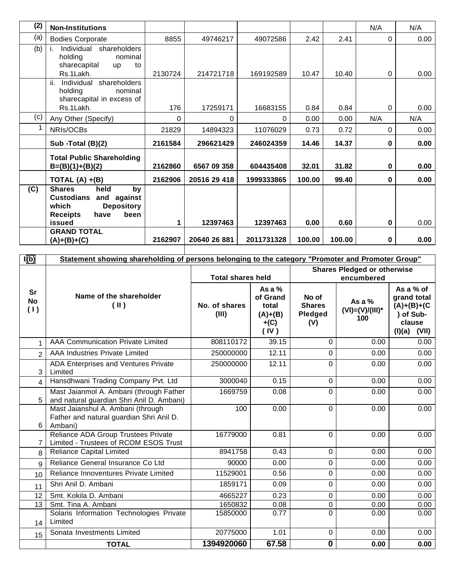| (2) | <b>Non-Institutions</b>                                                                                                          |          |              |            |        |        | N/A | N/A  |
|-----|----------------------------------------------------------------------------------------------------------------------------------|----------|--------------|------------|--------|--------|-----|------|
| (a) | <b>Bodies Corporate</b>                                                                                                          | 8855     | 49746217     | 49072586   | 2.42   | 2.41   | 0   | 0.00 |
| (b) | Individual shareholders<br>holding<br>nominal<br>sharecapital<br><b>up</b><br>to                                                 |          |              |            |        |        |     |      |
|     | Rs.1Lakh.                                                                                                                        | 2130724  | 214721718    | 169192589  | 10.47  | 10.40  | 0   | 0.00 |
|     | ii.<br>Individual shareholders<br>holding<br>nominal<br>sharecapital in excess of                                                |          |              |            |        |        |     |      |
|     | Rs.1Lakh.                                                                                                                        | 176      | 17259171     | 16683155   | 0.84   | 0.84   | 0   | 0.00 |
| (c) | Any Other (Specify)                                                                                                              | $\Omega$ | $\Omega$     | 0          | 0.00   | 0.00   | N/A | N/A  |
|     | NRIs/OCBs                                                                                                                        | 21829    | 14894323     | 11076029   | 0.73   | 0.72   | 0   | 0.00 |
|     | Sub -Total (B)(2)                                                                                                                | 2161584  | 296621429    | 246024359  | 14.46  | 14.37  | 0   | 0.00 |
|     | <b>Total Public Shareholding</b><br>$B=(B)(1)+(B)(2)$                                                                            | 2162860  | 6567 09 358  | 604435408  | 32.01  | 31.82  | 0   | 0.00 |
|     | TOTAL $(A) + (B)$                                                                                                                | 2162906  | 20516 29 418 | 1999333865 | 100.00 | 99.40  | 0   | 0.00 |
| (C) | <b>Shares</b><br>held<br>by<br><b>Custodians</b><br>and against<br>which<br><b>Depository</b><br>been<br><b>Receipts</b><br>have |          |              |            |        |        |     |      |
|     | issued                                                                                                                           | 1        | 12397463     | 12397463   | 0.00   | 0.60   | 0   | 0.00 |
|     | <b>GRAND TOTAL</b><br>$(A)+(B)+(C)$                                                                                              | 2162907  | 20640 26 881 | 2011731328 | 100.00 | 100.00 | 0   | 0.00 |

| I(b)                   | Statement showing shareholding of persons belonging to the category "Promoter and Promoter Group" |                          |                                                              |                                          |                                       |                                                                                     |
|------------------------|---------------------------------------------------------------------------------------------------|--------------------------|--------------------------------------------------------------|------------------------------------------|---------------------------------------|-------------------------------------------------------------------------------------|
|                        |                                                                                                   |                          |                                                              |                                          | <b>Shares Pledged or otherwise</b>    |                                                                                     |
|                        |                                                                                                   | <b>Total shares held</b> |                                                              |                                          | encumbered                            |                                                                                     |
| Sr<br><b>No</b><br>(1) | Name of the shareholder<br>$(\parallel)$                                                          | No. of shares<br>(III)   | As a $%$<br>of Grand<br>total<br>$(A)+(B)$<br>$+(C)$<br>(IV) | No of<br><b>Shares</b><br>Pledged<br>(V) | As a %<br>$(VI) = (V)/(III)^*$<br>100 | As a % of<br>grand total<br>$(A)+(B)+(C)$<br>) of Sub-<br>clause<br>(VII)<br>(I)(a) |
| 1                      | <b>AAA Communication Private Limited</b>                                                          | 808110172                | 39.15                                                        | $\Omega$                                 | 0.00                                  | 0.00                                                                                |
| $\overline{2}$         | AAA Industries Private Limited                                                                    | 250000000                | 12.11                                                        | $\Omega$                                 | 0.00                                  | 0.00                                                                                |
| 3                      | ADA Enterprises and Ventures Private<br>Limited                                                   | 250000000                | 12.11                                                        | 0                                        | 0.00                                  | 0.00                                                                                |
| 4                      | Hansdhwani Trading Company Pvt. Ltd                                                               | 3000040                  | 0.15                                                         | $\mathbf 0$                              | 0.00                                  | 0.00                                                                                |
| 5                      | Mast Jaianmol A. Ambani (through Father<br>and natural guardian Shri Anil D. Ambani)              | 1669759                  | 0.08                                                         | $\Omega$                                 | 0.00                                  | 0.00                                                                                |
| 6                      | Mast Jaianshul A. Ambani (through<br>Father and natural guardian Shri Anil D.<br>Ambani)          | 100                      | 0.00                                                         | $\Omega$                                 | 0.00                                  | 0.00                                                                                |
| 7                      | Reliance ADA Group Trustees Private<br>Limited - Trustees of RCOM ESOS Trust                      | 16779000                 | 0.81                                                         | $\mathbf{0}$                             | 0.00                                  | 0.00                                                                                |
| 8                      | <b>Reliance Capital Limited</b>                                                                   | 8941758                  | 0.43                                                         | $\mathbf 0$                              | 0.00                                  | 0.00                                                                                |
| $\mathbf{Q}$           | Reliance General Insurance Co Ltd                                                                 | 90000                    | 0.00                                                         | $\mathbf 0$                              | 0.00                                  | 0.00                                                                                |
| 10                     | Reliance Innoventures Private Limited                                                             | 11529001                 | 0.56                                                         | 0                                        | 0.00                                  | 0.00                                                                                |
| 11                     | Shri Anil D. Ambani                                                                               | 1859171                  | 0.09                                                         | $\Omega$                                 | 0.00                                  | 0.00                                                                                |
| 12                     | Smt. Kokila D. Ambani                                                                             | 4665227                  | 0.23                                                         | $\pmb{0}$                                | 0.00                                  | 0.00                                                                                |
| 13                     | Smt. Tina A. Ambani                                                                               | 1650832                  | 0.08                                                         | $\mathbf 0$                              | 0.00                                  | 0.00                                                                                |
| 14                     | Solaris Information Technologies Private<br>Limited                                               | 15850000                 | 0.77                                                         | 0                                        | 0.00                                  | 0.00                                                                                |
| 15                     | Sonata Investments Limited                                                                        | 20775000                 | 1.01                                                         | $\mathbf 0$                              | 0.00                                  | 0.00                                                                                |
|                        | <b>TOTAL</b>                                                                                      | 1394920060               | 67.58                                                        | $\overline{\mathbf{0}}$                  | 0.00                                  | 0.00                                                                                |